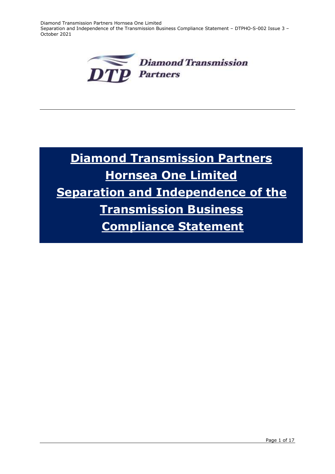Diamond Transmission Partners Hornsea One Limited Separation and Independence of the Transmission Business Compliance Statement – DTPHO-S-002 Issue 3 – October 2021



# **Diamond Transmission Partners Hornsea One Limited Separation and Independence of the Transmission Business Compliance Statement**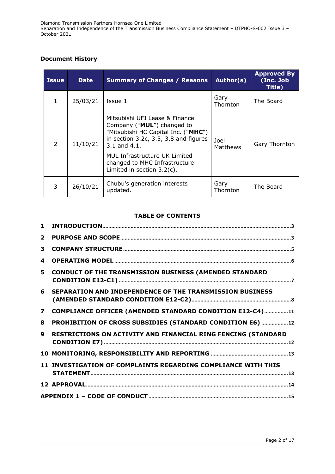## **Document History**

| <b>Issue</b>   | <b>Date</b> | <b>Summary of Changes / Reasons</b>                                                                                                                                                                                                                             | Author(s)        | <b>Approved By</b><br>(Inc. Job<br>Title) |
|----------------|-------------|-----------------------------------------------------------------------------------------------------------------------------------------------------------------------------------------------------------------------------------------------------------------|------------------|-------------------------------------------|
| $\mathbf{1}$   | 25/03/21    | Issue 1                                                                                                                                                                                                                                                         | Gary<br>Thornton | The Board                                 |
| $\overline{2}$ | 11/10/21    | Mitsubishi UFJ Lease & Finance<br>Company ("MUL") changed to<br>"Mitsubishi HC Capital Inc. ("MHC")<br>in section 3.2c, 3.5, 3.8 and figures<br>3.1 and 4.1.<br>MUL Infrastructure UK Limited<br>changed to MHC Infrastructure<br>Limited in section $3.2(c)$ . | Joel<br>Matthews | Gary Thornton                             |
| 3              | 26/10/21    | Chubu's generation interests<br>updated.                                                                                                                                                                                                                        | Gary<br>Thornton | The Board                                 |

# **TABLE OF CONTENTS**

| $\mathbf{1}$            |                                                                 |
|-------------------------|-----------------------------------------------------------------|
| $\mathbf{2}$            |                                                                 |
| 3                       |                                                                 |
| 4                       |                                                                 |
| 5                       | <b>CONDUCT OF THE TRANSMISSION BUSINESS (AMENDED STANDARD</b>   |
| 6                       | <b>SEPARATION AND INDEPENDENCE OF THE TRANSMISSION BUSINESS</b> |
| $\overline{\mathbf{z}}$ | COMPLIANCE OFFICER (AMENDED STANDARD CONDITION E12-C4)11        |
| 8                       | PROHIBITION OF CROSS SUBSIDIES (STANDARD CONDITION E6)  12      |
| $\mathbf{9}$            | RESTRICTIONS ON ACTIVITY AND FINANCIAL RING FENCING (STANDARD   |
|                         |                                                                 |
|                         | 11 INVESTIGATION OF COMPLAINTS REGARDING COMPLIANCE WITH THIS   |
|                         |                                                                 |
|                         |                                                                 |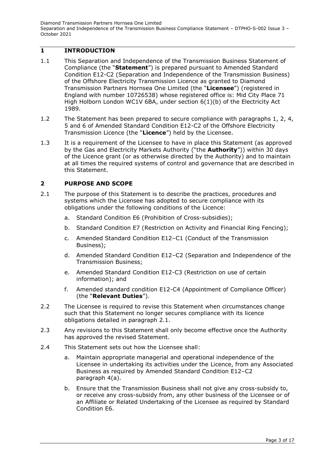# <span id="page-2-0"></span>**1 INTRODUCTION**

- 1.1 This Separation and Independence of the Transmission Business Statement of Compliance (the "**Statement**") is prepared pursuant to Amended Standard Condition E12-C2 (Separation and Independence of the Transmission Business) of the Offshore Electricity Transmission Licence as granted to Diamond Transmission Partners Hornsea One Limited (the "**Licensee**") (registered in England with number 10726538) whose registered office is: Mid City Place 71 High Holborn London WC1V 6BA, under section 6(1)(b) of the Electricity Act 1989.
- 1.2 The Statement has been prepared to secure compliance with paragraphs 1, 2, 4, 5 and 6 of Amended Standard Condition E12-C2 of the Offshore Electricity Transmission Licence (the "**Licence**") held by the Licensee.
- 1.3 It is a requirement of the Licensee to have in place this Statement (as approved by the Gas and Electricity Markets Authority ("the **Authority**")) within 30 days of the Licence grant (or as otherwise directed by the Authority) and to maintain at all times the required systems of control and governance that are described in this Statement.

# <span id="page-2-1"></span>**2 PURPOSE AND SCOPE**

- 2.1 The purpose of this Statement is to describe the practices, procedures and systems which the Licensee has adopted to secure compliance with its obligations under the following conditions of the Licence:
	- a. Standard Condition E6 (Prohibition of Cross-subsidies);
	- b. Standard Condition E7 (Restriction on Activity and Financial Ring Fencing);
	- c. Amended Standard Condition E12–C1 (Conduct of the Transmission Business);
	- d. Amended Standard Condition E12–C2 (Separation and Independence of the Transmission Business;
	- e. Amended Standard Condition E12-C3 (Restriction on use of certain information); and
	- f. Amended standard condition E12-C4 (Appointment of Compliance Officer) (the "**Relevant Duties**").
- 2.2 The Licensee is required to revise this Statement when circumstances change such that this Statement no longer secures compliance with its licence obligations detailed in paragraph 2.1.
- 2.3 Any revisions to this Statement shall only become effective once the Authority has approved the revised Statement.
- 2.4 This Statement sets out how the Licensee shall:
	- a. Maintain appropriate managerial and operational independence of the Licensee in undertaking its activities under the Licence, from any Associated Business as required by Amended Standard Condition E12–C2 paragraph 4(a).
	- b. Ensure that the Transmission Business shall not give any cross-subsidy to, or receive any cross-subsidy from, any other business of the Licensee or of an Affiliate or Related Undertaking of the Licensee as required by Standard Condition E6.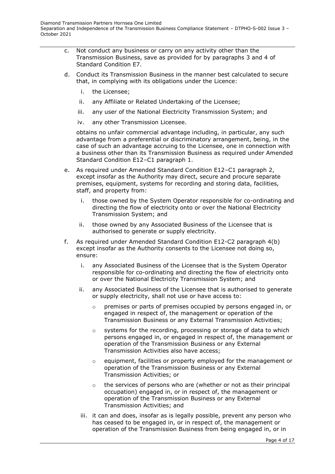- c. Not conduct any business or carry on any activity other than the Transmission Business, save as provided for by paragraphs 3 and 4 of Standard Condition E7.
- d. Conduct its Transmission Business in the manner best calculated to secure that, in complying with its obligations under the Licence:
	- i. the Licensee;
	- ii. any Affiliate or Related Undertaking of the Licensee;
	- iii. any user of the National Electricity Transmission System; and
	- iv. any other Transmission Licensee.

obtains no unfair commercial advantage including, in particular, any such advantage from a preferential or discriminatory arrangement, being, in the case of such an advantage accruing to the Licensee, one in connection with a business other than its Transmission Business as required under Amended Standard Condition E12–C1 paragraph 1.

- e. As required under Amended Standard Condition E12–C1 paragraph 2, except insofar as the Authority may direct, secure and procure separate premises, equipment, systems for recording and storing data, facilities, staff, and property from:
	- i. those owned by the System Operator responsible for co-ordinating and directing the flow of electricity onto or over the National Electricity Transmission System; and
	- ii. those owned by any Associated Business of the Licensee that is authorised to generate or supply electricity.
- f. As required under Amended Standard Condition E12-C2 paragraph 4(b) except insofar as the Authority consents to the Licensee not doing so, ensure:
	- i. any Associated Business of the Licensee that is the System Operator responsible for co-ordinating and directing the flow of electricity onto or over the National Electricity Transmission System; and
	- ii. any Associated Business of the Licensee that is authorised to generate or supply electricity, shall not use or have access to:
		- $\circ$  premises or parts of premises occupied by persons engaged in, or engaged in respect of, the management or operation of the Transmission Business or any External Transmission Activities;
		- $\circ$  systems for the recording, processing or storage of data to which persons engaged in, or engaged in respect of, the management or operation of the Transmission Business or any External Transmission Activities also have access;
		- o equipment, facilities or property employed for the management or operation of the Transmission Business or any External Transmission Activities; or
		- $\circ$  the services of persons who are (whether or not as their principal occupation) engaged in, or in respect of, the management or operation of the Transmission Business or any External Transmission Activities; and
	- iii. it can and does, insofar as is legally possible, prevent any person who has ceased to be engaged in, or in respect of, the management or operation of the Transmission Business from being engaged in, or in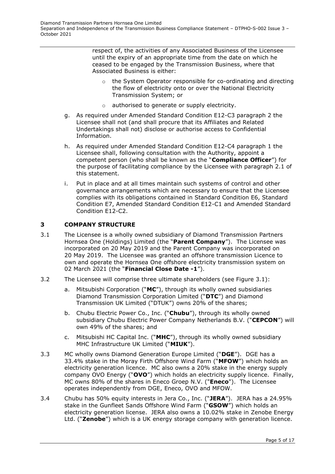respect of, the activities of any Associated Business of the Licensee until the expiry of an appropriate time from the date on which he ceased to be engaged by the Transmission Business, where that Associated Business is either:

- the System Operator responsible for co-ordinating and directing the flow of electricity onto or over the National Electricity Transmission System; or
- o authorised to generate or supply electricity.
- g. As required under Amended Standard Condition E12-C3 paragraph 2 the Licensee shall not (and shall procure that its Affiliates and Related Undertakings shall not) disclose or authorise access to Confidential Information.
- h. As required under Amended Standard Condition E12-C4 paragraph 1 the Licensee shall, following consultation with the Authority, appoint a competent person (who shall be known as the "**Compliance Officer**") for the purpose of facilitating compliance by the Licensee with paragraph 2.1 of this statement.
- i. Put in place and at all times maintain such systems of control and other governance arrangements which are necessary to ensure that the Licensee complies with its obligations contained in Standard Condition E6, Standard Condition E7, Amended Standard Condition E12-C1 and Amended Standard Condition E12-C2.

## <span id="page-4-0"></span>**3 COMPANY STRUCTURE**

- 3.1 The Licensee is a wholly owned subsidiary of Diamond Transmission Partners Hornsea One (Holdings) Limited (the "**Parent Company**"). The Licensee was incorporated on 20 May 2019 and the Parent Company was incorporated on 20 May 2019. The Licensee was granted an offshore transmission Licence to own and operate the Hornsea One offshore electricity transmission system on 02 March 2021 (the "**Financial Close Date -1**").
- 3.2 The Licensee will comprise three ultimate shareholders (see Figure 3.1):
	- a. Mitsubishi Corporation ("**MC**"), through its wholly owned subsidiaries Diamond Transmission Corporation Limited ("**DTC**") and Diamond Transmission UK Limited ("DTUK") owns 20% of the shares;
	- b. Chubu Electric Power Co., Inc. ("**Chubu**"), through its wholly owned subsidiary Chubu Electric Power Company Netherlands B.V. ("**CEPCON**") will own 49% of the shares; and
	- c. Mitsubishi HC Capital Inc. ("**MHC**"), through its wholly owned subsidiary MHC Infrastructure UK Limited ("**MIUK**").
- 3.3 MC wholly owns Diamond Generation Europe Limited ("**DGE**"). DGE has a 33.4% stake in the Moray Firth Offshore Wind Farm ("**MFOW**") which holds an electricity generation licence. MC also owns a 20% stake in the energy supply company OVO Energy ("**OVO**") which holds an electricity supply licence. Finally, MC owns 80% of the shares in Eneco Groep N.V. ("**Eneco**"). The Licensee operates independently from DGE, Eneco, OVO and MFOW.
- 3.4 Chubu has 50% equity interests in Jera Co., Inc. ("**JERA**"). JERA has a 24.95% stake in the Gunfleet Sands Offshore Wind Farm ("**GSOW**") which holds an electricity generation license. JERA also owns a 10.02% stake in Zenobe Energy Ltd. ("**Zenobe**") which is a UK energy storage company with generation licence.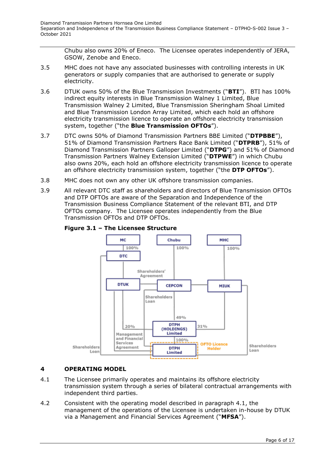Chubu also owns 20% of Eneco. The Licensee operates independently of JERA, GSOW, Zenobe and Eneco.

- 3.5 MHC does not have any associated businesses with controlling interests in UK generators or supply companies that are authorised to generate or supply electricity.
- 3.6 DTUK owns 50% of the Blue Transmission Investments ("**BTI**"). BTI has 100% indirect equity interests in Blue Transmission Walney 1 Limited, Blue Transmission Walney 2 Limited, Blue Transmission Sheringham Shoal Limited and Blue Transmission London Array Limited, which each hold an offshore electricity transmission licence to operate an offshore electricity transmission system, together ("the **Blue Transmission OFTOs**").
- 3.7 DTC owns 50% of Diamond Transmission Partners BBE Limited ("**DTPBBE**"), 51% of Diamond Transmission Partners Race Bank Limited ("**DTPRB**"), 51% of Diamond Transmission Partners Galloper Limited ("**DTPG**") and 51% of Diamond Transmission Partners Walney Extension Limited ("**DTPWE**") in which Chubu also owns 20%, each hold an offshore electricity transmission licence to operate an offshore electricity transmission system, together ("the **DTP OFTOs**").
- 3.8 MHC does not own any other UK offshore transmission companies.
- 3.9 All relevant DTC staff as shareholders and directors of Blue Transmission OFTOs and DTP OFTOs are aware of the Separation and Independence of the Transmission Business Compliance Statement of the relevant BTI, and DTP OFTOs company. The Licensee operates independently from the Blue Transmission OFTOs and DTP OFTOs.



# **Figure 3.1 – The Licensee Structure**

## <span id="page-5-0"></span>**4 OPERATING MODEL**

- 4.1 The Licensee primarily operates and maintains its offshore electricity transmission system through a series of bilateral contractual arrangements with independent third parties.
- 4.2 Consistent with the operating model described in paragraph 4.1, the management of the operations of the Licensee is undertaken in-house by DTUK via a Management and Financial Services Agreement ("**MFSA**").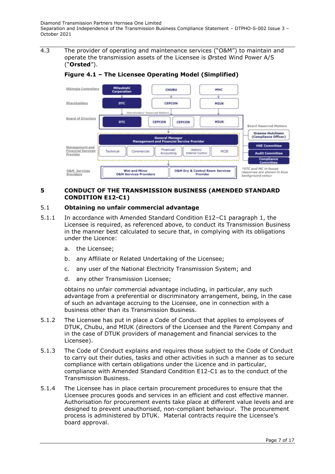4.3 The provider of operating and maintenance services ("O&M") to maintain and operate the transmission assets of the Licensee is Ørsted Wind Power A/S ("**Orsted**").



**Figure 4.1 – The Licensee Operating Model (Simplified)**

#### <span id="page-6-0"></span>**5 CONDUCT OF THE TRANSMISSION BUSINESS (AMENDED STANDARD CONDITION E12-C1)**

## 5.1 **Obtaining no unfair commercial advantage**

- 5.1.1 In accordance with Amended Standard Condition E12–C1 paragraph 1, the Licensee is required, as referenced above, to conduct its Transmission Business in the manner best calculated to secure that, in complying with its obligations under the Licence:
	- a. the Licensee;
	- b. any Affiliate or Related Undertaking of the Licensee;
	- c. any user of the National Electricity Transmission System; and
	- d. any other Transmission Licensee;

obtains no unfair commercial advantage including, in particular, any such advantage from a preferential or discriminatory arrangement, being, in the case of such an advantage accruing to the Licensee, one in connection with a business other than its Transmission Business.

- 5.1.2 The Licensee has put in place a Code of Conduct that applies to employees of DTUK, Chubu, and MIUK (directors of the Licensee and the Parent Company and in the case of DTUK providers of management and financial services to the Licensee).
- 5.1.3 The Code of Conduct explains and requires those subject to the Code of Conduct to carry out their duties, tasks and other activities in such a manner as to secure compliance with certain obligations under the Licence and in particular, compliance with Amended Standard Condition E12-C1 as to the conduct of the Transmission Business.
- 5.1.4 The Licensee has in place certain procurement procedures to ensure that the Licensee procures goods and services in an efficient and cost effective manner. Authorisation for procurement events take place at different value levels and are designed to prevent unauthorised, non-compliant behaviour. The procurement process is administered by DTUK. Material contracts require the Licensee's board approval.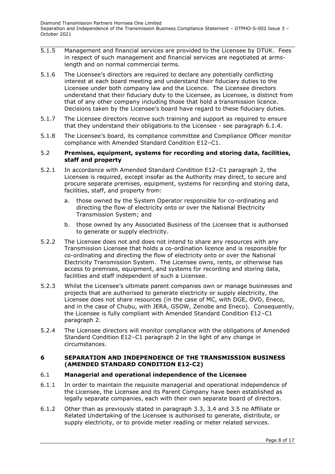- 5.1.5 Management and financial services are provided to the Licensee by DTUK. Fees in respect of such management and financial services are negotiated at armslength and on normal commercial terms.
- 5.1.6 The Licensee's directors are required to declare any potentially conflicting interest at each board meeting and understand their fiduciary duties to the Licensee under both company law and the Licence. The Licensee directors understand that their fiduciary duty to the Licensee, as Licensee, is distinct from that of any other company including those that hold a transmission licence. Decisions taken by the Licensee's board have regard to these fiduciary duties.
- 5.1.7 The Licensee directors receive such training and support as required to ensure that they understand their obligations to the Licensee - see paragraph 6.1.4.
- 5.1.8 The Licensee's board, its compliance committee and Compliance Officer monitor compliance with Amended Standard Condition E12–C1.

#### 5.2 **Premises, equipment, systems for recording and storing data, facilities, staff and property**

- 5.2.1 In accordance with Amended Standard Condition E12–C1 paragraph 2, the Licensee is required, except insofar as the Authority may direct, to secure and procure separate premises, equipment, systems for recording and storing data, facilities, staff, and property from:
	- a. those owned by the System Operator responsible for co-ordinating and directing the flow of electricity onto or over the National Electricity Transmission System; and
	- b. those owned by any Associated Business of the Licensee that is authorised to generate or supply electricity.
- 5.2.2 The Licensee does not and does not intend to share any resources with any Transmission Licensee that holds a co-ordination licence and is responsible for co-ordinating and directing the flow of electricity onto or over the National Electricity Transmission System. The Licensee owns, rents, or otherwise has access to premises, equipment, and systems for recording and storing data, facilities and staff independent of such a Licensee.
- 5.2.3 Whilst the Licensee's ultimate parent companies own or manage businesses and projects that are authorised to generate electricity or supply electricity, the Licensee does not share resources (in the case of MC, with DGE, OVO, Eneco, and in the case of Chubu, with JERA, GSOW, Zenobe and Eneco). Consequently, the Licensee is fully compliant with Amended Standard Condition E12–C1 paragraph 2.
- 5.2.4 The Licensee directors will monitor compliance with the obligations of Amended Standard Condition E12–C1 paragraph 2 in the light of any change in circumstances.

#### <span id="page-7-0"></span>**6 SEPARATION AND INDEPENDENCE OF THE TRANSMISSION BUSINESS (AMENDED STANDARD CONDITION E12-C2)**

## 6.1 **Managerial and operational independence of the Licensee**

- 6.1.1 In order to maintain the requisite managerial and operational independence of the Licensee, the Licensee and its Parent Company have been established as legally separate companies, each with their own separate board of directors.
- 6.1.2 Other than as previously stated in paragraph 3.3, 3.4 and 3.5 no Affiliate or Related Undertaking of the Licensee is authorised to generate, distribute, or supply electricity, or to provide meter reading or meter related services.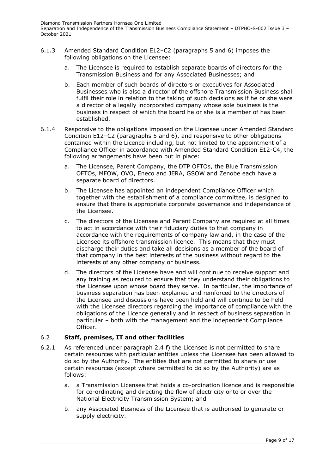- 6.1.3 Amended Standard Condition E12–C2 (paragraphs 5 and 6) imposes the following obligations on the Licensee:
	- a. The Licensee is required to establish separate boards of directors for the Transmission Business and for any Associated Businesses; and
	- b. Each member of such boards of directors or executives for Associated Businesses who is also a director of the offshore Transmission Business shall fulfil their role in relation to the taking of such decisions as if he or she were a director of a legally incorporated company whose sole business is the business in respect of which the board he or she is a member of has been established.
- 6.1.4 Responsive to the obligations imposed on the Licensee under Amended Standard Condition E12–C2 (paragraphs 5 and 6), and responsive to other obligations contained within the Licence including, but not limited to the appointment of a Compliance Officer in accordance with Amended Standard Condition E12-C4, the following arrangements have been put in place:
	- a. The Licensee, Parent Company, the DTP OFTOs, the Blue Transmission OFTOs, MFOW, OVO, Eneco and JERA, GSOW and Zenobe each have a separate board of directors.
	- b. The Licensee has appointed an independent Compliance Officer which together with the establishment of a compliance committee, is designed to ensure that there is appropriate corporate governance and independence of the Licensee.
	- c. The directors of the Licensee and Parent Company are required at all times to act in accordance with their fiduciary duties to that company in accordance with the requirements of company law and, in the case of the Licensee its offshore transmission licence. This means that they must discharge their duties and take all decisions as a member of the board of that company in the best interests of the business without regard to the interests of any other company or business.
	- d. The directors of the Licensee have and will continue to receive support and any training as required to ensure that they understand their obligations to the Licensee upon whose board they serve. In particular, the importance of business separation has been explained and reinforced to the directors of the Licensee and discussions have been held and will continue to be held with the Licensee directors regarding the importance of compliance with the obligations of the Licence generally and in respect of business separation in particular – both with the management and the independent Compliance Officer.

## 6.2 **Staff, premises, IT and other facilities**

- 6.2.1 As referenced under paragraph 2.4 f) the Licensee is not permitted to share certain resources with particular entities unless the Licensee has been allowed to do so by the Authority. The entities that are not permitted to share or use certain resources (except where permitted to do so by the Authority) are as follows:
	- a. a Transmission Licensee that holds a co-ordination licence and is responsible for co-ordinating and directing the flow of electricity onto or over the National Electricity Transmission System; and
	- b. any Associated Business of the Licensee that is authorised to generate or supply electricity.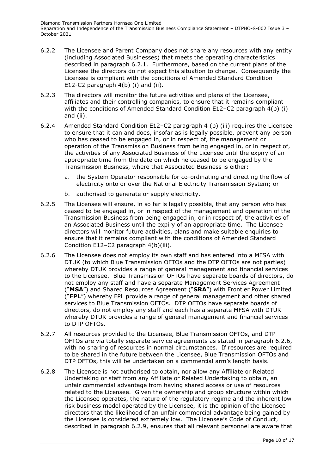- 6.2.2 The Licensee and Parent Company does not share any resources with any entity (including Associated Businesses) that meets the operating characteristics described in paragraph 6.2.1. Furthermore, based on the current plans of the Licensee the directors do not expect this situation to change. Consequently the Licensee is compliant with the conditions of Amended Standard Condition E12-C2 paragraph 4(b) (i) and (ii).
- 6.2.3 The directors will monitor the future activities and plans of the Licensee, affiliates and their controlling companies, to ensure that it remains compliant with the conditions of Amended Standard Condition E12–C2 paragraph 4(b) (i) and (ii).
- 6.2.4 Amended Standard Condition E12–C2 paragraph 4 (b) (iii) requires the Licensee to ensure that it can and does, insofar as is legally possible, prevent any person who has ceased to be engaged in, or in respect of, the management or operation of the Transmission Business from being engaged in, or in respect of, the activities of any Associated Business of the Licensee until the expiry of an appropriate time from the date on which he ceased to be engaged by the Transmission Business, where that Associated Business is either:
	- a. the System Operator responsible for co-ordinating and directing the flow of electricity onto or over the National Electricity Transmission System; or
	- b. authorised to generate or supply electricity.
- 6.2.5 The Licensee will ensure, in so far is legally possible, that any person who has ceased to be engaged in, or in respect of the management and operation of the Transmission Business from being engaged in, or in respect of, the activities of an Associated Business until the expiry of an appropriate time. The Licensee directors will monitor future activities, plans and make suitable enquiries to ensure that it remains compliant with the conditions of Amended Standard Condition E12–C2 paragraph 4(b)(iii).
- 6.2.6 The Licensee does not employ its own staff and has entered into a MFSA with DTUK (to which Blue Transmission OFTOs and the DTP OFTOs are not parties) whereby DTUK provides a range of general management and financial services to the Licensee. Blue Transmission OFTOs have separate boards of directors, do not employ any staff and have a separate Management Services Agreement ("**MSA**") and Shared Resources Agreement ("**SRA**") with Frontier Power Limited ("**FPL**") whereby FPL provide a range of general management and other shared services to Blue Transmission OFTOs. DTP OFTOs have separate boards of directors, do not employ any staff and each has a separate MFSA with DTUK whereby DTUK provides a range of general management and financial services to DTP OFTOs.
- 6.2.7 All resources provided to the Licensee, Blue Transmission OFTOs, and DTP OFTOs are via totally separate service agreements as stated in paragraph 6.2.6, with no sharing of resources in normal circumstances. If resources are required to be shared in the future between the Licensee, Blue Transmission OFTOs and DTP OFTOs, this will be undertaken on a commercial arm's length basis.
- 6.2.8 The Licensee is not authorised to obtain, nor allow any Affiliate or Related Undertaking or staff from any Affiliate or Related Undertaking to obtain, an unfair commercial advantage from having shared access or use of resources related to the Licensee. Given the ownership and group structure within which the Licensee operates, the nature of the regulatory regime and the inherent low risk business model operated by the Licensee, it is the opinion of the Licensee directors that the likelihood of an unfair commercial advantage being gained by the Licensee is considered extremely low. The Licensee's Code of Conduct, described in paragraph 6.2.9, ensures that all relevant personnel are aware that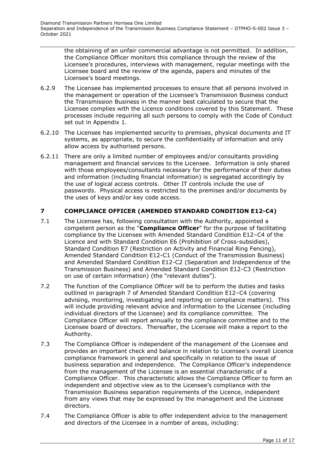the obtaining of an unfair commercial advantage is not permitted. In addition, the Compliance Officer monitors this compliance through the review of the Licensee's procedures, interviews with management, regular meetings with the Licensee board and the review of the agenda, papers and minutes of the Licensee's board meetings.

- 6.2.9 The Licensee has implemented processes to ensure that all persons involved in the management or operation of the Licensee's Transmission Business conduct the Transmission Business in the manner best calculated to secure that the Licensee complies with the Licence conditions covered by this Statement. These processes include requiring all such persons to comply with the Code of Conduct set out in Appendix 1.
- 6.2.10 The Licensee has implemented security to premises, physical documents and IT systems, as appropriate, to secure the confidentiality of information and only allow access by authorised persons.
- 6.2.11 There are only a limited number of employees and/or consultants providing management and financial services to the Licensee. Information is only shared with those employees/consultants necessary for the performance of their duties and information (including financial information) is segregated accordingly by the use of logical access controls. Other IT controls include the use of passwords. Physical access is restricted to the premises and/or documents by the uses of keys and/or key code access.

# <span id="page-10-0"></span>**7 COMPLIANCE OFFICER (AMENDED STANDARD CONDITION E12-C4)**

- 7.1 The Licensee has, following consultation with the Authority, appointed a competent person as the "**Compliance Officer**" for the purpose of facilitating compliance by the Licensee with Amended Standard Condition E12–C4 of the Licence and with Standard Condition E6 (Prohibition of Cross-subsidies), Standard Condition E7 (Restriction on Activity and Financial Ring Fencing), Amended Standard Condition E12-C1 (Conduct of the Transmission Business) and Amended Standard Condition E12-C2 (Separation and Independence of the Transmission Business) and Amended Standard Condition E12-C3 (Restriction on use of certain information) (the "relevant duties").
- 7.2 The function of the Compliance Officer will be to perform the duties and tasks outlined in paragraph 7 of Amended Standard Condition E12–C4 (covering advising, monitoring, investigating and reporting on compliance matters). This will include providing relevant advice and information to the Licensee (including individual directors of the Licensee) and its compliance committee. The Compliance Officer will report annually to the compliance committee and to the Licensee board of directors. Thereafter, the Licensee will make a report to the Authority.
- 7.3 The Compliance Officer is independent of the management of the Licensee and provides an important check and balance in relation to Licensee's overall Licence compliance framework in general and specifically in relation to the issue of business separation and independence. The Compliance Officer's independence from the management of the Licensee is an essential characteristic of a Compliance Officer. This characteristic allows the Compliance Officer to form an independent and objective view as to the Licensee's compliance with the Transmission Business separation requirements of the Licence, independent from any views that may be expressed by the management and the Licensee directors.
- 7.4 The Compliance Officer is able to offer independent advice to the management and directors of the Licensee in a number of areas, including: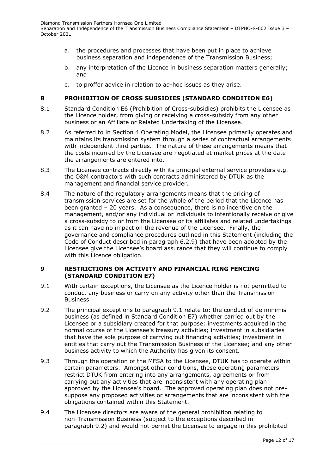- a. the procedures and processes that have been put in place to achieve business separation and independence of the Transmission Business;
- b. any interpretation of the Licence in business separation matters generally; and
- c. to proffer advice in relation to ad-hoc issues as they arise.

## <span id="page-11-0"></span>**8 PROHIBITION OF CROSS SUBSIDIES (STANDARD CONDITION E6)**

- 8.1 Standard Condition E6 (Prohibition of Cross-subsidies) prohibits the Licensee as the Licence holder, from giving or receiving a cross-subsidy from any other business or an Affiliate or Related Undertaking of the Licensee.
- 8.2 As referred to in Section 4 Operating Model, the Licensee primarily operates and maintains its transmission system through a series of contractual arrangements with independent third parties. The nature of these arrangements means that the costs incurred by the Licensee are negotiated at market prices at the date the arrangements are entered into.
- 8.3 The Licensee contracts directly with its principal external service providers e.g. the O&M contractors with such contracts administered by DTUK as the management and financial service provider.
- 8.4 The nature of the regulatory arrangements means that the pricing of transmission services are set for the whole of the period that the Licence has been granted – 20 years. As a consequence, there is no incentive on the management, and/or any individual or individuals to intentionally receive or give a cross-subsidy to or from the Licensee or its affiliates and related undertakings as it can have no impact on the revenue of the Licensee. Finally, the governance and compliance procedures outlined in this Statement (including the Code of Conduct described in paragraph 6.2.9) that have been adopted by the Licensee give the Licensee's board assurance that they will continue to comply with this Licence obligation.

#### <span id="page-11-1"></span>**9 RESTRICTIONS ON ACTIVITY AND FINANCIAL RING FENCING (STANDARD CONDITION E7)**

- 9.1 With certain exceptions, the Licensee as the Licence holder is not permitted to conduct any business or carry on any activity other than the Transmission Business.
- 9.2 The principal exceptions to paragraph 9.1 relate to: the conduct of de minimis business (as defined in Standard Condition E7) whether carried out by the Licensee or a subsidiary created for that purpose; investments acquired in the normal course of the Licensee's treasury activities; investment in subsidiaries that have the sole purpose of carrying out financing activities; investment in entities that carry out the Transmission Business of the Licensee; and any other business activity to which the Authority has given its consent.
- 9.3 Through the operation of the MFSA to the Licensee, DTUK has to operate within certain parameters. Amongst other conditions, these operating parameters restrict DTUK from entering into any arrangements, agreements or from carrying out any activities that are inconsistent with any operating plan approved by the Licensee's board. The approved operating plan does not presuppose any proposed activities or arrangements that are inconsistent with the obligations contained within this Statement.
- 9.4 The Licensee directors are aware of the general prohibition relating to non-Transmission Business (subject to the exceptions described in paragraph 9.2) and would not permit the Licensee to engage in this prohibited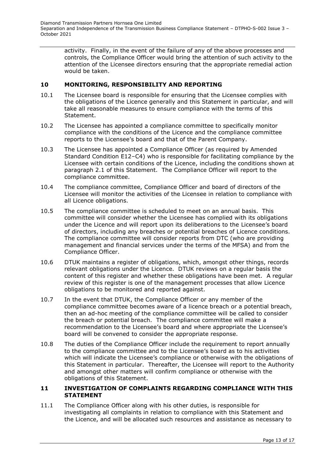activity. Finally, in the event of the failure of any of the above processes and controls, the Compliance Officer would bring the attention of such activity to the attention of the Licensee directors ensuring that the appropriate remedial action would be taken.

#### <span id="page-12-0"></span>**10 MONITORING, RESPONSIBILITY AND REPORTING**

- 10.1 The Licensee board is responsible for ensuring that the Licensee complies with the obligations of the Licence generally and this Statement in particular, and will take all reasonable measures to ensure compliance with the terms of this Statement.
- 10.2 The Licensee has appointed a compliance committee to specifically monitor compliance with the conditions of the Licence and the compliance committee reports to the Licensee's board and that of the Parent Company.
- 10.3 The Licensee has appointed a Compliance Officer (as required by Amended Standard Condition E12–C4) who is responsible for facilitating compliance by the Licensee with certain conditions of the Licence, including the conditions shown at paragraph 2.1 of this Statement. The Compliance Officer will report to the compliance committee.
- 10.4 The compliance committee, Compliance Officer and board of directors of the Licensee will monitor the activities of the Licensee in relation to compliance with all Licence obligations.
- 10.5 The compliance committee is scheduled to meet on an annual basis. This committee will consider whether the Licensee has complied with its obligations under the Licence and will report upon its deliberations to the Licensee's board of directors, including any breaches or potential breaches of Licence conditions. The compliance committee will consider reports from DTC (who are providing management and financial services under the terms of the MFSA) and from the Compliance Officer.
- 10.6 DTUK maintains a register of obligations, which, amongst other things, records relevant obligations under the Licence. DTUK reviews on a regular basis the content of this register and whether these obligations have been met. A regular review of this register is one of the management processes that allow Licence obligations to be monitored and reported against.
- 10.7 In the event that DTUK, the Compliance Officer or any member of the compliance committee becomes aware of a licence breach or a potential breach, then an ad-hoc meeting of the compliance committee will be called to consider the breach or potential breach. The compliance committee will make a recommendation to the Licensee's board and where appropriate the Licensee's board will be convened to consider the appropriate response.
- 10.8 The duties of the Compliance Officer include the requirement to report annually to the compliance committee and to the Licensee's board as to his activities which will indicate the Licensee's compliance or otherwise with the obligations of this Statement in particular. Thereafter, the Licensee will report to the Authority and amongst other matters will confirm compliance or otherwise with the obligations of this Statement.

#### <span id="page-12-1"></span>**11 INVESTIGATION OF COMPLAINTS REGARDING COMPLIANCE WITH THIS STATEMENT**

11.1 The Compliance Officer along with his other duties, is responsible for investigating all complaints in relation to compliance with this Statement and the Licence, and will be allocated such resources and assistance as necessary to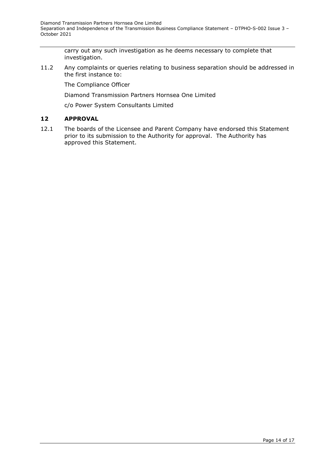carry out any such investigation as he deems necessary to complete that investigation.

11.2 Any complaints or queries relating to business separation should be addressed in the first instance to:

The Compliance Officer

Diamond Transmission Partners Hornsea One Limited

c/o Power System Consultants Limited

## <span id="page-13-0"></span>**12 APPROVAL**

12.1 The boards of the Licensee and Parent Company have endorsed this Statement prior to its submission to the Authority for approval. The Authority has approved this Statement.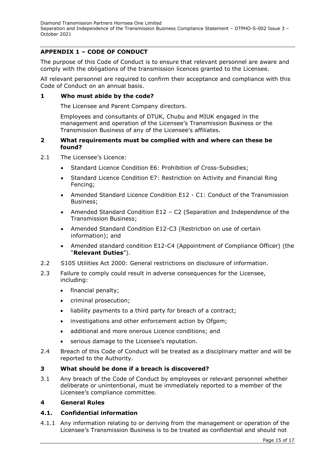# <span id="page-14-0"></span>**APPENDIX 1 – CODE OF CONDUCT**

The purpose of this Code of Conduct is to ensure that relevant personnel are aware and comply with the obligations of the transmission licences granted to the Licensee.

All relevant personnel are required to confirm their acceptance and compliance with this Code of Conduct on an annual basis.

#### **1 Who must abide by the code?**

The Licensee and Parent Company directors.

Employees and consultants of DTUK, Chubu and MIUK engaged in the management and operation of the Licensee's Transmission Business or the Transmission Business of any of the Licensee's affiliates.

#### **2 What requirements must be complied with and where can these be found?**

- 2.1 The Licensee's Licence:
	- Standard Licence Condition E6: Prohibition of Cross-Subsidies;
	- Standard Licence Condition E7: Restriction on Activity and Financial Ring Fencing;
	- Amended Standard Licence Condition E12 C1: Conduct of the Transmission Business;
	- Amended Standard Condition E12 C2 (Separation and Independence of the Transmission Business;
	- Amended Standard Condition E12-C3 (Restriction on use of certain information); and
	- Amended standard condition E12-C4 (Appointment of Compliance Officer) (the "**Relevant Duties**").
- 2.2 S105 Utilities Act 2000: General restrictions on disclosure of information.
- 2.3 Failure to comply could result in adverse consequences for the Licensee, including:
	- financial penalty;
	- criminal prosecution;
	- liability payments to a third party for breach of a contract;
	- investigations and other enforcement action by Ofgem;
	- additional and more onerous Licence conditions; and
	- serious damage to the Licensee's reputation.
- 2.4 Breach of this Code of Conduct will be treated as a disciplinary matter and will be reported to the Authority.

#### **3 What should be done if a breach is discovered?**

3.1 Any breach of the Code of Conduct by employees or relevant personnel whether deliberate or unintentional, must be immediately reported to a member of the Licensee's compliance committee.

#### **4 General Rules**

## **4.1. Confidential information**

4.1.1 Any information relating to or deriving from the management or operation of the Licensee's Transmission Business is to be treated as confidential and should not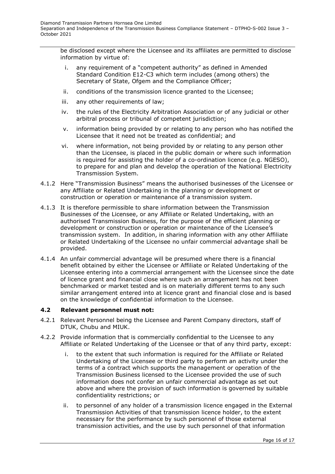be disclosed except where the Licensee and its affiliates are permitted to disclose information by virtue of:

- i. any requirement of a "competent authority" as defined in Amended Standard Condition E12-C3 which term includes (among others) the Secretary of State, Ofgem and the Compliance Officer;
- ii. conditions of the transmission licence granted to the Licensee;
- iii. any other requirements of law;
- iv. the rules of the Electricity Arbitration Association or of any judicial or other arbitral process or tribunal of competent jurisdiction;
- v. information being provided by or relating to any person who has notified the Licensee that it need not be treated as confidential; and
- vi. where information, not being provided by or relating to any person other than the Licensee, is placed in the public domain or where such information is required for assisting the holder of a co-ordination licence (e.g. NGESO), to prepare for and plan and develop the operation of the National Electricity Transmission System.
- 4.1.2 Here "Transmission Business" means the authorised businesses of the Licensee or any Affiliate or Related Undertaking in the planning or development or construction or operation or maintenance of a transmission system.
- 4.1.3 It is therefore permissible to share information between the Transmission Businesses of the Licensee, or any Affiliate or Related Undertaking, with an authorised Transmission Business, for the purpose of the efficient planning or development or construction or operation or maintenance of the Licensee's transmission system. In addition, in sharing information with any other Affiliate or Related Undertaking of the Licensee no unfair commercial advantage shall be provided.
- 4.1.4 An unfair commercial advantage will be presumed where there is a financial benefit obtained by either the Licensee or Affiliate or Related Undertaking of the Licensee entering into a commercial arrangement with the Licensee since the date of licence grant and financial close where such an arrangement has not been benchmarked or market tested and is on materially different terms to any such similar arrangement entered into at licence grant and financial close and is based on the knowledge of confidential information to the Licensee.

## **4.2 Relevant personnel must not:**

- 4.2.1 Relevant Personnel being the Licensee and Parent Company directors, staff of DTUK, Chubu and MIUK.
- 4.2.2 Provide information that is commercially confidential to the Licensee to any Affiliate or Related Undertaking of the Licensee or that of any third party, except:
	- i. to the extent that such information is required for the Affiliate or Related Undertaking of the Licensee or third party to perform an activity under the terms of a contract which supports the management or operation of the Transmission Business licensed to the Licensee provided the use of such information does not confer an unfair commercial advantage as set out above and where the provision of such information is governed by suitable confidentiality restrictions; or
	- ii. to personnel of any holder of a transmission licence engaged in the External Transmission Activities of that transmission licence holder, to the extent necessary for the performance by such personnel of those external transmission activities, and the use by such personnel of that information